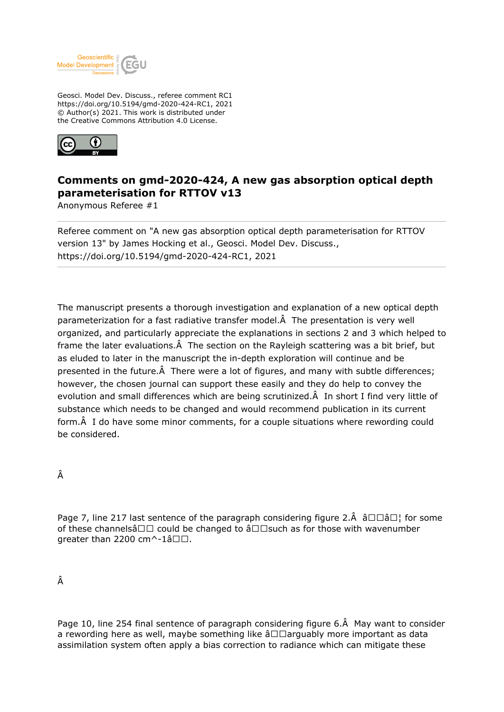

Geosci. Model Dev. Discuss., referee comment RC1 https://doi.org/10.5194/gmd-2020-424-RC1, 2021 © Author(s) 2021. This work is distributed under the Creative Commons Attribution 4.0 License.



## **Comments on gmd-2020-424, A new gas absorption optical depth parameterisation for RTTOV v13**

Anonymous Referee #1

Referee comment on "A new gas absorption optical depth parameterisation for RTTOV version 13" by James Hocking et al., Geosci. Model Dev. Discuss., https://doi.org/10.5194/gmd-2020-424-RC1, 2021

The manuscript presents a thorough investigation and explanation of a new optical depth parameterization for a fast radiative transfer model. A The presentation is very well organized, and particularly appreciate the explanations in sections 2 and 3 which helped to frame the later evaluations. $\hat{A}$  The section on the Rayleigh scattering was a bit brief, but as eluded to later in the manuscript the in-depth exploration will continue and be presented in the future. $\hat{A}$  There were a lot of figures, and many with subtle differences; however, the chosen journal can support these easily and they do help to convey the evolution and small differences which are being scrutinized. A In short I find very little of substance which needs to be changed and would recommend publication in its current form. A I do have some minor comments, for a couple situations where rewording could be considered.

Â

Page 7, line 217 last sentence of the paragraph considering figure 2. $\hat{A}$   $\hat{a} \Box \Box \hat{a} \Box$  for some of these channelsâ $\Box\Box$  could be changed to â $\Box\Box$ such as for those with wavenumber greater than 2200 cm $\wedge$ -1â $\square\square$ .

Â

Page 10, line 254 final sentence of paragraph considering figure 6. A May want to consider a rewording here as well, maybe something like  $\hat{a}\Box\Box$ arguably more important as data assimilation system often apply a bias correction to radiance which can mitigate these